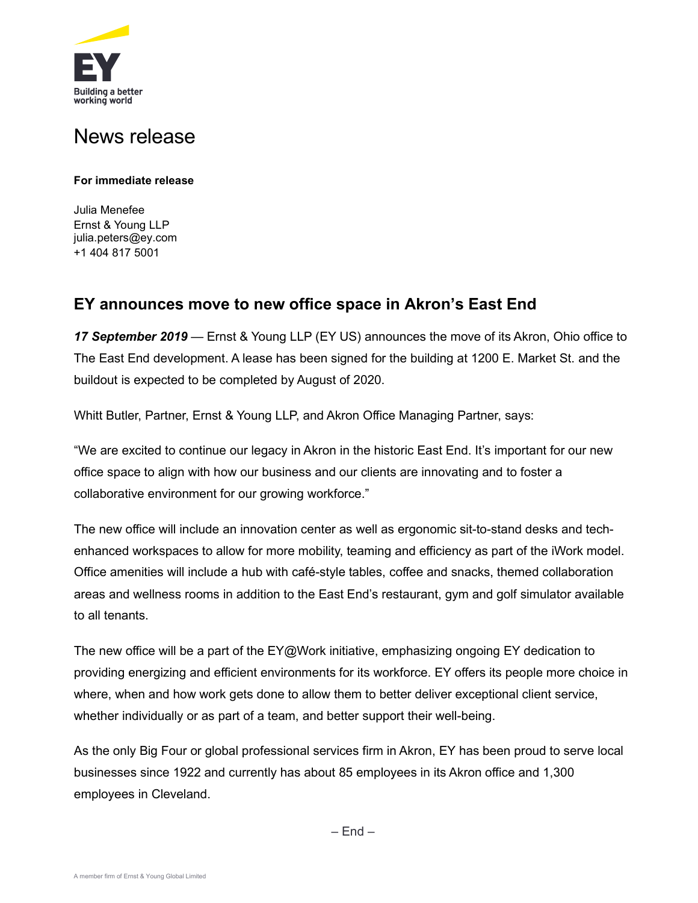

## News release

## **For immediate release**

Julia Menefee Ernst & Young LLP julia.peters@ey.com [+1 404](mailto:julia.peters@ey.com) 817 5001

## **EY announces move to new office space in Akron's East End**

*17 September 2019* — Ernst & Young LLP (EY US) announces the move of its Akron, Ohio office to The East End development. A lease has been signed for the building at 1200 E. Market St. and the buildout is expected to be completed by August of 2020.

Whitt Butler, Partner, Ernst & Young LLP, and Akron Office Managing Partner, says:

"We are excited to continue our legacy in Akron in the historic East End. It's important for our new office space to align with how our business and our clients are innovating and to foster a collaborative environment for our growing workforce."

The new office will include an innovation center as well as ergonomic sit-to-stand desks and techenhanced workspaces to allow for more mobility, teaming and efficiency as part of the iWork model. Office amenities will include a hub with café-style tables, coffee and snacks, themed collaboration areas and wellness rooms in addition to the East End's restaurant, gym and golf simulator available to all tenants.

The new office will be a part of the EY@Work initiative, emphasizing ongoing EY dedication to providing energizing and efficient environments for its workforce. EY offers its people more choice in where, when and how work gets done to allow them to better deliver exceptional client service, whether individually or as part of a team, and better support their well-being.

As the only Big Four or global professional services firm in Akron, EY has been proud to serve local businesses since 1922 and currently has about 85 employees in its Akron office and 1,300 employees in Cleveland.